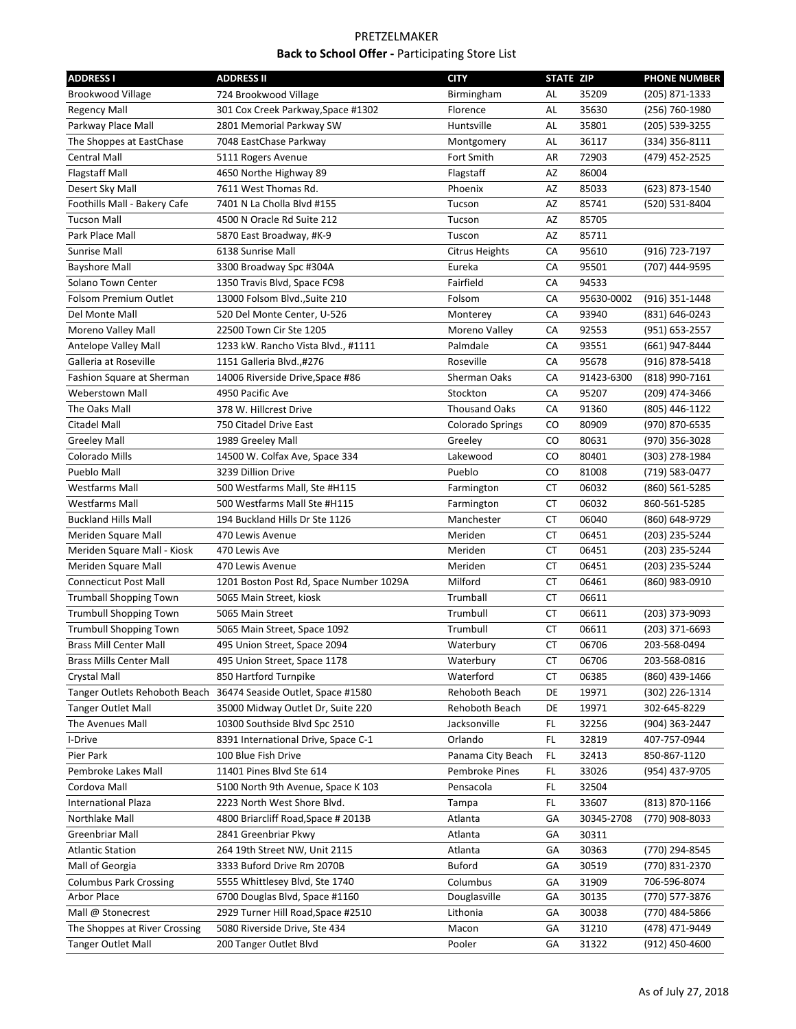| <b>ADDRESS I</b>               | <b>ADDRESS II</b>                                               | <b>CITY</b>          | <b>STATE ZIP</b> |            | <b>PHONE NUMBER</b> |
|--------------------------------|-----------------------------------------------------------------|----------------------|------------------|------------|---------------------|
| <b>Brookwood Village</b>       | 724 Brookwood Village                                           | Birmingham           | AL               | 35209      | (205) 871-1333      |
| <b>Regency Mall</b>            | 301 Cox Creek Parkway, Space #1302                              | Florence             | AL               | 35630      | (256) 760-1980      |
| Parkway Place Mall             | 2801 Memorial Parkway SW                                        | Huntsville           | AL               | 35801      | (205) 539-3255      |
| The Shoppes at EastChase       | 7048 EastChase Parkway                                          | Montgomery           | AL               | 36117      | (334) 356-8111      |
| Central Mall                   | 5111 Rogers Avenue                                              | Fort Smith           | AR               | 72903      | (479) 452-2525      |
| <b>Flagstaff Mall</b>          | 4650 Northe Highway 89                                          | Flagstaff            | AZ               | 86004      |                     |
| Desert Sky Mall                | 7611 West Thomas Rd.                                            | Phoenix              | AZ               | 85033      | (623) 873-1540      |
| Foothills Mall - Bakery Cafe   | 7401 N La Cholla Blvd #155                                      | Tucson               | AZ               | 85741      | (520) 531-8404      |
| <b>Tucson Mall</b>             | 4500 N Oracle Rd Suite 212                                      | Tucson               | AZ               | 85705      |                     |
| Park Place Mall                | 5870 East Broadway, #K-9                                        | Tuscon               | AZ               | 85711      |                     |
| Sunrise Mall                   | 6138 Sunrise Mall                                               | Citrus Heights       | СA               | 95610      | (916) 723-7197      |
| <b>Bayshore Mall</b>           | 3300 Broadway Spc #304A                                         | Eureka               | СA               | 95501      | (707) 444-9595      |
| Solano Town Center             | 1350 Travis Blvd, Space FC98                                    | Fairfield            | CA               | 94533      |                     |
| Folsom Premium Outlet          | 13000 Folsom Blvd., Suite 210                                   | Folsom               | СA               | 95630-0002 | (916) 351-1448      |
| Del Monte Mall                 | 520 Del Monte Center, U-526                                     | Monterey             | СA               | 93940      | (831) 646-0243      |
| Moreno Valley Mall             | 22500 Town Cir Ste 1205                                         | Moreno Valley        | СA               | 92553      | (951) 653-2557      |
| Antelope Valley Mall           | 1233 kW. Rancho Vista Blvd., #1111                              | Palmdale             | СA               | 93551      | (661) 947-8444      |
| Galleria at Roseville          | 1151 Galleria Blvd.,#276                                        | Roseville            | CA               | 95678      | (916) 878-5418      |
| Fashion Square at Sherman      | 14006 Riverside Drive, Space #86                                | Sherman Oaks         | СA               | 91423-6300 | (818) 990-7161      |
| Weberstown Mall                | 4950 Pacific Ave                                                | Stockton             | СA               | 95207      | (209) 474-3466      |
| The Oaks Mall                  | 378 W. Hillcrest Drive                                          | <b>Thousand Oaks</b> | СA               | 91360      | (805) 446-1122      |
| <b>Citadel Mall</b>            | 750 Citadel Drive East                                          | Colorado Springs     | CO               | 80909      | (970) 870-6535      |
| <b>Greeley Mall</b>            | 1989 Greeley Mall                                               | Greeley              | CO               | 80631      | (970) 356-3028      |
| Colorado Mills                 | 14500 W. Colfax Ave, Space 334                                  | Lakewood             | CO               | 80401      | (303) 278-1984      |
| Pueblo Mall                    | 3239 Dillion Drive                                              | Pueblo               | CO               | 81008      | (719) 583-0477      |
| <b>Westfarms Mall</b>          | 500 Westfarms Mall, Ste #H115                                   | Farmington           | СT               | 06032      | (860) 561-5285      |
| <b>Westfarms Mall</b>          | 500 Westfarms Mall Ste #H115                                    | Farmington           | СT               | 06032      | 860-561-5285        |
| <b>Buckland Hills Mall</b>     | 194 Buckland Hills Dr Ste 1126                                  | Manchester           | СT               | 06040      | (860) 648-9729      |
| Meriden Square Mall            | 470 Lewis Avenue                                                | Meriden              | СT               | 06451      | (203) 235-5244      |
| Meriden Square Mall - Kiosk    | 470 Lewis Ave                                                   | Meriden              | CT               | 06451      | (203) 235-5244      |
| Meriden Square Mall            | 470 Lewis Avenue                                                | Meriden              | CT               | 06451      | (203) 235-5244      |
| <b>Connecticut Post Mall</b>   | 1201 Boston Post Rd, Space Number 1029A                         | Milford              | CT               | 06461      | (860) 983-0910      |
| <b>Trumball Shopping Town</b>  | 5065 Main Street, kiosk                                         | Trumball             | СT               | 06611      |                     |
| <b>Trumbull Shopping Town</b>  | 5065 Main Street                                                | Trumbull             | СT               | 06611      | (203) 373-9093      |
| <b>Trumbull Shopping Town</b>  | 5065 Main Street, Space 1092                                    | Trumbull             | СT               | 06611      | (203) 371-6693      |
| <b>Brass Mill Center Mall</b>  | 495 Union Street, Space 2094                                    | Waterbury            | CT               | 06706      | 203-568-0494        |
| <b>Brass Mills Center Mall</b> | 495 Union Street, Space 1178                                    | Waterbury            | СT               | 06706      | 203-568-0816        |
| Crystal Mall                   | 850 Hartford Turnpike                                           | Waterford            | СT               | 06385      | (860) 439-1466      |
|                                | Tanger Outlets Rehoboth Beach 36474 Seaside Outlet, Space #1580 | Rehoboth Beach       | DE               | 19971      | (302) 226-1314      |
| <b>Tanger Outlet Mall</b>      | 35000 Midway Outlet Dr, Suite 220                               | Rehoboth Beach       | DE               | 19971      | 302-645-8229        |
| The Avenues Mall               | 10300 Southside Blvd Spc 2510                                   | Jacksonville         | FL.              | 32256      | (904) 363-2447      |
| I-Drive                        | 8391 International Drive, Space C-1                             | Orlando              | FL.              | 32819      | 407-757-0944        |
| Pier Park                      | 100 Blue Fish Drive                                             | Panama City Beach    | FL               | 32413      | 850-867-1120        |
| Pembroke Lakes Mall            | 11401 Pines Blvd Ste 614                                        | Pembroke Pines       | FL               | 33026      | (954) 437-9705      |
| Cordova Mall                   | 5100 North 9th Avenue, Space K 103                              | Pensacola            | FL               | 32504      |                     |
| <b>International Plaza</b>     | 2223 North West Shore Blvd.                                     | Tampa                | FL               | 33607      | (813) 870-1166      |
| Northlake Mall                 | 4800 Briarcliff Road, Space # 2013B                             | Atlanta              | GА               | 30345-2708 | (770) 908-8033      |
| Greenbriar Mall                | 2841 Greenbriar Pkwy                                            | Atlanta              | GА               | 30311      |                     |
| <b>Atlantic Station</b>        | 264 19th Street NW, Unit 2115                                   | Atlanta              | GА               | 30363      | (770) 294-8545      |
| Mall of Georgia                | 3333 Buford Drive Rm 2070B                                      | Buford               | GА               | 30519      | (770) 831-2370      |
| <b>Columbus Park Crossing</b>  | 5555 Whittlesey Blvd, Ste 1740                                  | Columbus             | GА               | 31909      | 706-596-8074        |
| Arbor Place                    | 6700 Douglas Blvd, Space #1160                                  | Douglasville         | GА               | 30135      | (770) 577-3876      |
| Mall @ Stonecrest              | 2929 Turner Hill Road, Space #2510                              | Lithonia             | GА               | 30038      | (770) 484-5866      |
| The Shoppes at River Crossing  | 5080 Riverside Drive, Ste 434                                   | Macon                | GА               | 31210      | (478) 471-9449      |
| <b>Tanger Outlet Mall</b>      | 200 Tanger Outlet Blvd                                          | Pooler               | GА               | 31322      | (912) 450-4600      |
|                                |                                                                 |                      |                  |            |                     |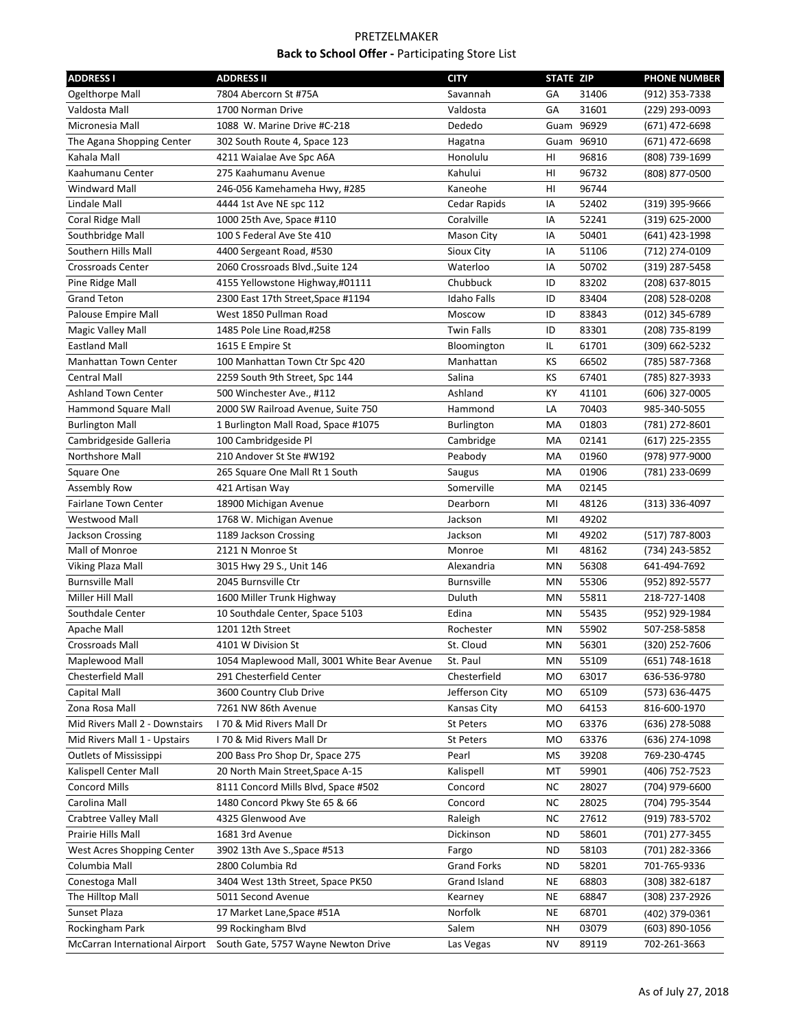| <b>ADDRESS I</b>                                               | <b>ADDRESS II</b>                                    | <b>CITY</b>            | <b>STATE ZIP</b> |                | <b>PHONE NUMBER</b>            |
|----------------------------------------------------------------|------------------------------------------------------|------------------------|------------------|----------------|--------------------------------|
| Ogelthorpe Mall                                                | 7804 Abercorn St #75A                                | Savannah               | GA               | 31406          | (912) 353-7338                 |
| Valdosta Mall                                                  | 1700 Norman Drive                                    | Valdosta               | GA               | 31601          | (229) 293-0093                 |
| Micronesia Mall                                                | 1088 W. Marine Drive #C-218                          | Dededo                 |                  | Guam 96929     | (671) 472-6698                 |
| The Agana Shopping Center                                      | 302 South Route 4, Space 123                         | Hagatna                |                  | Guam 96910     | (671) 472-6698                 |
| Kahala Mall                                                    | 4211 Waialae Ave Spc A6A                             | Honolulu               | HI               | 96816          | (808) 739-1699                 |
| Kaahumanu Center                                               | 275 Kaahumanu Avenue                                 | Kahului                | HI               | 96732          | (808) 877-0500                 |
| <b>Windward Mall</b>                                           | 246-056 Kamehameha Hwy, #285                         | Kaneohe                | HI               | 96744          |                                |
| Lindale Mall                                                   | 4444 1st Ave NE spc 112                              | Cedar Rapids           | IA               | 52402          | (319) 395-9666                 |
| Coral Ridge Mall                                               | 1000 25th Ave, Space #110                            | Coralville             | IA               | 52241          | (319) 625-2000                 |
| Southbridge Mall                                               | 100 S Federal Ave Ste 410                            | <b>Mason City</b>      | ΙA               | 50401          | (641) 423-1998                 |
| Southern Hills Mall                                            | 4400 Sergeant Road, #530                             | Sioux City             | ΙA               | 51106          | (712) 274-0109                 |
| <b>Crossroads Center</b>                                       | 2060 Crossroads Blvd., Suite 124                     | Waterloo               | ΙA               | 50702          | (319) 287-5458                 |
| Pine Ridge Mall                                                | 4155 Yellowstone Highway,#01111                      | Chubbuck               | ID               | 83202          | (208) 637-8015                 |
| <b>Grand Teton</b>                                             | 2300 East 17th Street, Space #1194                   | <b>Idaho Falls</b>     | ID               | 83404          | (208) 528-0208                 |
| Palouse Empire Mall                                            | West 1850 Pullman Road                               | Moscow                 | ID               | 83843          | (012) 345-6789                 |
| Magic Valley Mall                                              | 1485 Pole Line Road,#258                             | <b>Twin Falls</b>      | ID               | 83301          | (208) 735-8199                 |
| <b>Eastland Mall</b>                                           | 1615 E Empire St                                     | Bloomington            | IL.              | 61701          | (309) 662-5232                 |
| Manhattan Town Center                                          | 100 Manhattan Town Ctr Spc 420                       | Manhattan              | КS               | 66502          | (785) 587-7368                 |
| Central Mall                                                   | 2259 South 9th Street, Spc 144                       | Salina                 | κs               | 67401          | (785) 827-3933                 |
| <b>Ashland Town Center</b>                                     | 500 Winchester Ave., #112                            | Ashland                | КY               | 41101          | (606) 327-0005                 |
| <b>Hammond Square Mall</b>                                     | 2000 SW Railroad Avenue, Suite 750                   | Hammond                | LA               | 70403          | 985-340-5055                   |
| <b>Burlington Mall</b>                                         | 1 Burlington Mall Road, Space #1075                  | Burlington             | МA               | 01803          | (781) 272-8601                 |
| Cambridgeside Galleria                                         | 100 Cambridgeside Pl                                 | Cambridge              | МA               | 02141          | $(617)$ 225-2355               |
| Northshore Mall                                                | 210 Andover St Ste #W192                             | Peabody                | МA               | 01960          | (978) 977-9000                 |
| Square One                                                     | 265 Square One Mall Rt 1 South                       | Saugus                 | МA               | 01906          | (781) 233-0699                 |
| Assembly Row                                                   | 421 Artisan Way                                      | Somerville             | МA               | 02145          |                                |
| <b>Fairlane Town Center</b>                                    | 18900 Michigan Avenue                                | Dearborn               | MI               | 48126          | (313) 336-4097                 |
| Westwood Mall                                                  | 1768 W. Michigan Avenue                              | Jackson                | MI               | 49202          |                                |
| Jackson Crossing                                               | 1189 Jackson Crossing                                | Jackson                | MI               | 49202          | (517) 787-8003                 |
| Mall of Monroe                                                 | 2121 N Monroe St                                     | Monroe                 | MI               | 48162          | (734) 243-5852                 |
| Viking Plaza Mall                                              | 3015 Hwy 29 S., Unit 146                             | Alexandria             | ΜN               | 56308          | 641-494-7692                   |
| <b>Burnsville Mall</b>                                         | 2045 Burnsville Ctr                                  | <b>Burnsville</b>      | MN               | 55306          | (952) 892-5577                 |
| Miller Hill Mall                                               | 1600 Miller Trunk Highway                            | Duluth                 | MN               | 55811          | 218-727-1408                   |
| Southdale Center                                               | 10 Southdale Center, Space 5103                      | Edina                  | MN               | 55435          | (952) 929-1984                 |
| Apache Mall                                                    | 1201 12th Street                                     | Rochester              | ΜN               | 55902          | 507-258-5858                   |
| <b>Crossroads Mall</b>                                         | 4101 W Division St                                   | St. Cloud              | MN               | 56301          | (320) 252-7606                 |
| Maplewood Mall                                                 | 1054 Maplewood Mall, 3001 White Bear Avenue          | St. Paul               | ΜN               | 55109          | (651) 748-1618                 |
| Chesterfield Mall                                              | 291 Chesterfield Center                              | Chesterfield           | MO               | 63017          | 636-536-9780                   |
| Capital Mall                                                   | 3600 Country Club Drive                              | Jefferson City         | МO               | 65109          |                                |
| Zona Rosa Mall                                                 | 7261 NW 86th Avenue                                  |                        |                  | 64153          | (573) 636-4475<br>816-600-1970 |
|                                                                |                                                      | Kansas City            | МO               |                |                                |
| Mid Rivers Mall 2 - Downstairs<br>Mid Rivers Mall 1 - Upstairs | 170 & Mid Rivers Mall Dr<br>170 & Mid Rivers Mall Dr | St Peters<br>St Peters | МO<br>МO         | 63376<br>63376 | (636) 278-5088                 |
| <b>Outlets of Mississippi</b>                                  | 200 Bass Pro Shop Dr, Space 275                      |                        |                  |                | (636) 274-1098                 |
| Kalispell Center Mall                                          | 20 North Main Street, Space A-15                     | Pearl                  | ΜS<br>МT         | 39208<br>59901 | 769-230-4745<br>(406) 752-7523 |
| <b>Concord Mills</b>                                           | 8111 Concord Mills Blvd, Space #502                  | Kalispell<br>Concord   | ΝC               | 28027          | (704) 979-6600                 |
| Carolina Mall                                                  | 1480 Concord Pkwy Ste 65 & 66                        |                        |                  | 28025          | (704) 795-3544                 |
|                                                                | 4325 Glenwood Ave                                    | Concord                | ΝC               | 27612          |                                |
| Crabtree Valley Mall                                           |                                                      | Raleigh                | ΝC               |                | (919) 783-5702                 |
| Prairie Hills Mall                                             | 1681 3rd Avenue                                      | Dickinson              | ND               | 58601          | (701) 277-3455                 |
| West Acres Shopping Center                                     | 3902 13th Ave S., Space #513                         | Fargo                  | ND               | 58103          | (701) 282-3366                 |
| Columbia Mall                                                  | 2800 Columbia Rd                                     | <b>Grand Forks</b>     | ND               | 58201          | 701-765-9336                   |
| Conestoga Mall                                                 | 3404 West 13th Street, Space PK50                    | Grand Island           | NE               | 68803          | (308) 382-6187                 |
| The Hilltop Mall                                               | 5011 Second Avenue                                   | Kearney                | NE               | 68847          | (308) 237-2926                 |
| Sunset Plaza                                                   | 17 Market Lane, Space #51A                           | Norfolk                | NE               | 68701          | (402) 379-0361                 |
| Rockingham Park                                                | 99 Rockingham Blvd                                   | Salem                  | NΗ               | 03079          | (603) 890-1056                 |
| McCarran International Airport                                 | South Gate, 5757 Wayne Newton Drive                  | Las Vegas              | ΝV               | 89119          | 702-261-3663                   |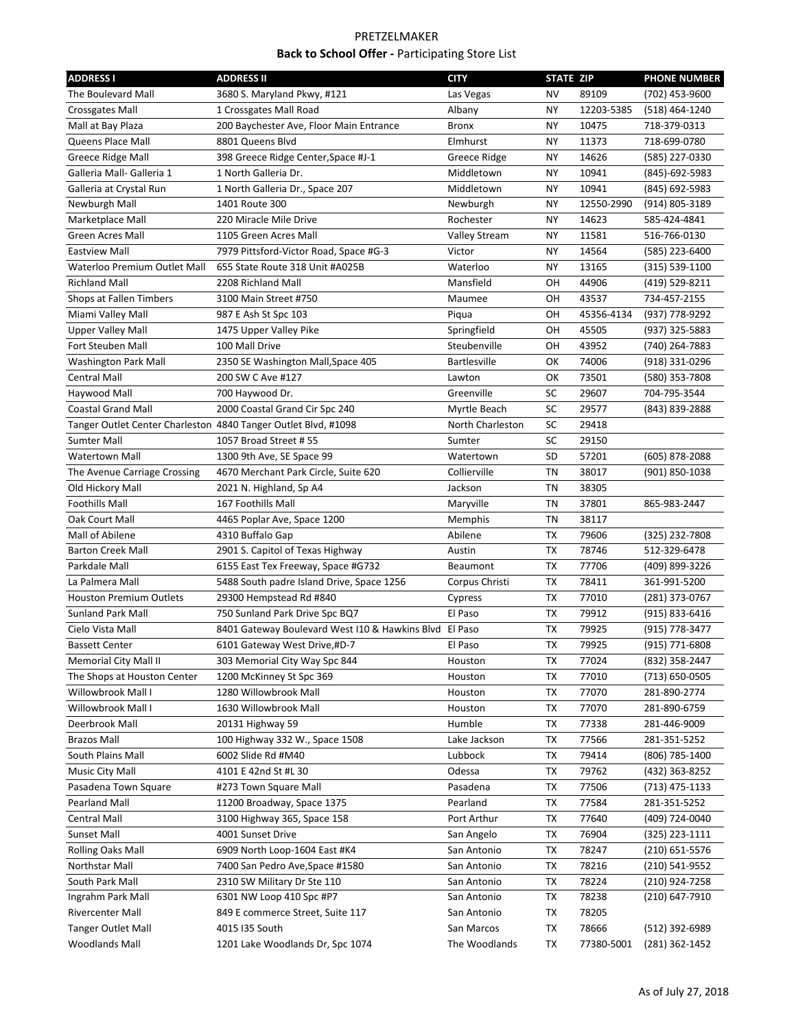| <b>ADDRESS I</b>                                               | <b>ADDRESS II</b>                                         | <b>CITY</b>             | <b>STATE ZIP</b> |            | <b>PHONE NUMBER</b> |
|----------------------------------------------------------------|-----------------------------------------------------------|-------------------------|------------------|------------|---------------------|
| The Boulevard Mall                                             | 3680 S. Maryland Pkwy, #121                               | Las Vegas               | NV               | 89109      | (702) 453-9600      |
| <b>Crossgates Mall</b>                                         | 1 Crossgates Mall Road                                    | Albany                  | NΥ               | 12203-5385 | (518) 464-1240      |
| Mall at Bay Plaza                                              | 200 Baychester Ave, Floor Main Entrance                   | Bronx                   | NΥ               | 10475      | 718-379-0313        |
| Queens Place Mall                                              | 8801 Queens Blvd                                          | Elmhurst                | NΥ               | 11373      | 718-699-0780        |
| <b>Greece Ridge Mall</b>                                       | 398 Greece Ridge Center, Space #J-1                       | Greece Ridge            | NΥ               | 14626      | (585) 227-0330      |
| Galleria Mall- Galleria 1                                      | 1 North Galleria Dr.                                      | Middletown              | NΥ               | 10941      | (845)-692-5983      |
| Galleria at Crystal Run                                        | 1 North Galleria Dr., Space 207                           | Middletown              | NΥ               | 10941      | (845) 692-5983      |
| Newburgh Mall                                                  | 1401 Route 300                                            | Newburgh                | NΥ               | 12550-2990 | (914) 805-3189      |
| Marketplace Mall                                               | 220 Miracle Mile Drive                                    | Rochester               | NΥ               | 14623      | 585-424-4841        |
| Green Acres Mall                                               | 1105 Green Acres Mall                                     | <b>Valley Stream</b>    | ΝY               | 11581      | 516-766-0130        |
| <b>Eastview Mall</b>                                           | 7979 Pittsford-Victor Road, Space #G-3                    | Victor                  | NΥ               | 14564      | (585) 223-6400      |
| Waterloo Premium Outlet Mall                                   | 655 State Route 318 Unit #A025B                           | Waterloo                | NΥ               | 13165      | (315) 539-1100      |
| <b>Richland Mall</b>                                           | 2208 Richland Mall                                        | Mansfield               | OН               | 44906      | (419) 529-8211      |
| Shops at Fallen Timbers                                        | 3100 Main Street #750                                     | Maumee                  | OН               | 43537      | 734-457-2155        |
| Miami Valley Mall                                              | 987 E Ash St Spc 103                                      | Piqua                   | ОН               | 45356-4134 | (937) 778-9292      |
| <b>Upper Valley Mall</b>                                       | 1475 Upper Valley Pike                                    | Springfield             | ОН               | 45505      | (937) 325-5883      |
| Fort Steuben Mall                                              | 100 Mall Drive                                            | Steubenville            | OН               | 43952      | (740) 264-7883      |
| <b>Washington Park Mall</b>                                    | 2350 SE Washington Mall, Space 405                        | <b>Bartlesville</b>     | ОΚ               | 74006      | (918) 331-0296      |
| Central Mall                                                   | 200 SW C Ave #127                                         | Lawton                  | ОК               | 73501      | (580) 353-7808      |
| Haywood Mall                                                   | 700 Haywood Dr.                                           | Greenville              | SC               | 29607      | 704-795-3544        |
| <b>Coastal Grand Mall</b>                                      | 2000 Coastal Grand Cir Spc 240                            | Myrtle Beach            | SC               | 29577      | (843) 839-2888      |
| Tanger Outlet Center Charleston 4840 Tanger Outlet Blvd, #1098 |                                                           | North Charleston        | SC               | 29418      |                     |
| <b>Sumter Mall</b>                                             | 1057 Broad Street # 55                                    | Sumter                  | SC               | 29150      |                     |
| <b>Watertown Mall</b>                                          | 1300 9th Ave, SE Space 99                                 | Watertown               | SD               | 57201      | (605) 878-2088      |
| The Avenue Carriage Crossing                                   | 4670 Merchant Park Circle, Suite 620                      | Collierville            | ΤN               | 38017      | (901) 850-1038      |
| Old Hickory Mall                                               | 2021 N. Highland, Sp A4                                   | Jackson                 | TN               | 38305      |                     |
| <b>Foothills Mall</b>                                          | 167 Foothills Mall                                        | Maryville               | ΤN               | 37801      | 865-983-2447        |
| Oak Court Mall                                                 | 4465 Poplar Ave, Space 1200                               | Memphis                 | ΤN               | 38117      |                     |
| Mall of Abilene                                                | 4310 Buffalo Gap                                          | Abilene                 | ТX               | 79606      | (325) 232-7808      |
| <b>Barton Creek Mall</b>                                       | 2901 S. Capitol of Texas Highway                          | Austin                  | ТX               | 78746      | 512-329-6478        |
| Parkdale Mall                                                  | 6155 East Tex Freeway, Space #G732                        | Beaumont                | ТX               | 77706      | (409) 899-3226      |
| La Palmera Mall                                                | 5488 South padre Island Drive, Space 1256                 | Corpus Christi          | ТX               | 78411      | 361-991-5200        |
| <b>Houston Premium Outlets</b>                                 | 29300 Hempstead Rd #840                                   | Cypress                 | ТX               | 77010      | (281) 373-0767      |
| <b>Sunland Park Mall</b>                                       | 750 Sunland Park Drive Spc BQ7                            | El Paso                 | ТX               | 79912      | (915) 833-6416      |
| Cielo Vista Mall                                               | 8401 Gateway Boulevard West I10 & Hawkins Blvd            | El Paso                 | ТX               | 79925      | (915) 778-3477      |
| <b>Bassett Center</b>                                          | 6101 Gateway West Drive,#D-7                              | El Paso                 | ТX               | 79925      | (915) 771-6808      |
| Memorial City Mall II                                          | 303 Memorial City Way Spc 844                             | Houston                 | ТX               | 77024      | (832) 358-2447      |
| The Shops at Houston Center                                    | 1200 McKinney St Spc 369                                  | Houston                 | ТX               | 77010      | (713) 650-0505      |
| Willowbrook Mall I                                             | 1280 Willowbrook Mall                                     | Houston                 | ТX               | 77070      | 281-890-2774        |
| Willowbrook Mall I                                             | 1630 Willowbrook Mall                                     | Houston                 | ТX               | 77070      | 281-890-6759        |
| Deerbrook Mall                                                 | 20131 Highway 59                                          | Humble                  | ТX               | 77338      | 281-446-9009        |
| <b>Brazos Mall</b>                                             | 100 Highway 332 W., Space 1508                            | Lake Jackson            | ТX               | 77566      | 281-351-5252        |
| South Plains Mall                                              | 6002 Slide Rd #M40                                        | Lubbock                 | ТX               | 79414      | (806) 785-1400      |
| Music City Mall                                                | 4101 E 42nd St #L 30                                      | Odessa                  | ТX               | 79762      | (432) 363-8252      |
| Pasadena Town Square                                           | #273 Town Square Mall                                     | Pasadena                | ТX               | 77506      | (713) 475-1133      |
| <b>Pearland Mall</b>                                           |                                                           |                         |                  | 77584      | 281-351-5252        |
|                                                                | 11200 Broadway, Space 1375<br>3100 Highway 365, Space 158 | Pearland<br>Port Arthur | ТX               | 77640      |                     |
| Central Mall                                                   |                                                           |                         | ТX               |            | (409) 724-0040      |
| Sunset Mall                                                    | 4001 Sunset Drive                                         | San Angelo              | TX               | 76904      | (325) 223-1111      |
| <b>Rolling Oaks Mall</b>                                       | 6909 North Loop-1604 East #K4                             | San Antonio             | TX               | 78247      | (210) 651-5576      |
| Northstar Mall                                                 | 7400 San Pedro Ave, Space #1580                           | San Antonio             | TX               | 78216      | (210) 541-9552      |
| South Park Mall                                                | 2310 SW Military Dr Ste 110                               | San Antonio             | ТX               | 78224      | (210) 924-7258      |
| Ingrahm Park Mall                                              | 6301 NW Loop 410 Spc #P7                                  | San Antonio             | TX               | 78238      | (210) 647-7910      |
| <b>Rivercenter Mall</b>                                        | 849 E commerce Street, Suite 117                          | San Antonio             | ТX               | 78205      |                     |
| <b>Tanger Outlet Mall</b>                                      | 4015 I35 South                                            | San Marcos              | ТX               | 78666      | (512) 392-6989      |
| <b>Woodlands Mall</b>                                          | 1201 Lake Woodlands Dr, Spc 1074                          | The Woodlands           | TX               | 77380-5001 | (281) 362-1452      |